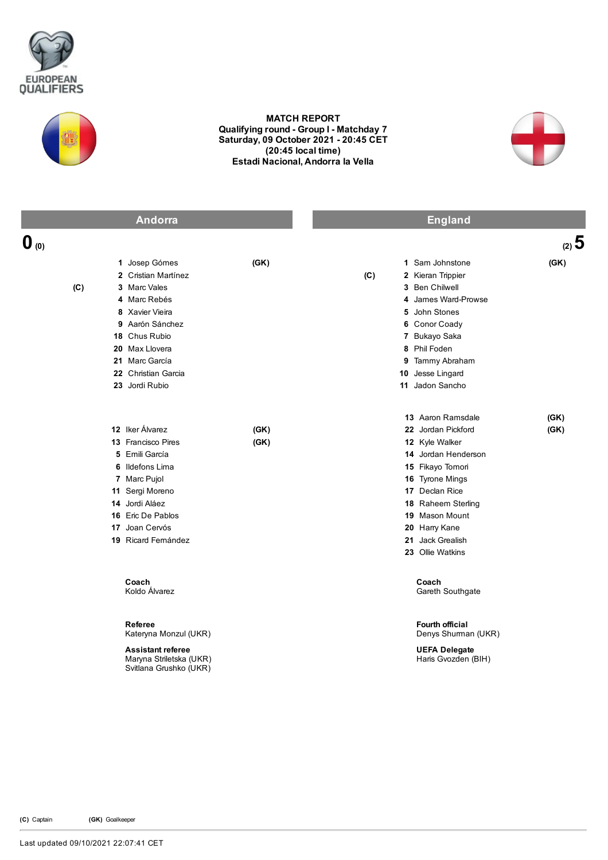



## MATCH REPORT Qualifying round - Group I - Matchday 7 Saturday, 09 October 2021 - 20:45 CET (20:45 local time) Estadi Nacional, Andorra la Vella



|                  | <b>Andorra</b>                                                                                                                                                                                           |              |          | <b>England</b>                                                                                                                                                                                                                             |              |
|------------------|----------------------------------------------------------------------------------------------------------------------------------------------------------------------------------------------------------|--------------|----------|--------------------------------------------------------------------------------------------------------------------------------------------------------------------------------------------------------------------------------------------|--------------|
| $\mathbf{0}$ (0) |                                                                                                                                                                                                          |              |          |                                                                                                                                                                                                                                            | (2) 5        |
| (C)              | 1 Josep Gómes<br>2 Cristian Martínez<br>3 Marc Vales<br>4 Marc Rebés<br>8 Xavier Vieira<br>9 Aarón Sánchez<br>18 Chus Rubio<br>20 Max Llovera<br>21 Marc García<br>22 Christian Garcia<br>23 Jordi Rubio | (GK)         | (C)<br>5 | 1 Sam Johnstone<br>2 Kieran Trippier<br>3 Ben Chilwell<br>4 James Ward-Prowse<br>John Stones<br>6 Conor Coady<br>7 Bukayo Saka<br>8 Phil Foden<br>9 Tammy Abraham<br>10 Jesse Lingard<br>11 Jadon Sancho                                   | (GK)         |
|                  | 12 Iker Álvarez<br>13 Francisco Pires<br>5 Emili García<br>6 Ildefons Lima<br>7 Marc Pujol<br>11 Sergi Moreno<br>14 Jordi Aláez<br><b>16 Eric De Pablos</b><br>17 Joan Cervós<br>19 Ricard Fernández     | (GK)<br>(GK) |          | 13 Aaron Ramsdale<br>22 Jordan Pickford<br>12 Kyle Walker<br>14 Jordan Henderson<br>15 Fikayo Tomori<br>16 Tyrone Mings<br>17 Declan Rice<br>18 Raheem Sterling<br>19 Mason Mount<br>20 Harry Kane<br>21 Jack Grealish<br>23 Ollie Watkins | (GK)<br>(GK) |
|                  | Coach<br>Koldo Álvarez                                                                                                                                                                                   |              |          | Coach<br>Gareth Southgate                                                                                                                                                                                                                  |              |
|                  | Referee<br>Kateryna Monzul (UKR)<br><b>Assistant referee</b><br>Maryna Striletska (UKR)<br>Svitlana Grushko (UKR)                                                                                        |              |          | Fourth official<br>Denys Shuman (UKR)<br><b>UEFA Delegate</b><br>Haris Gvozden (BIH)                                                                                                                                                       |              |